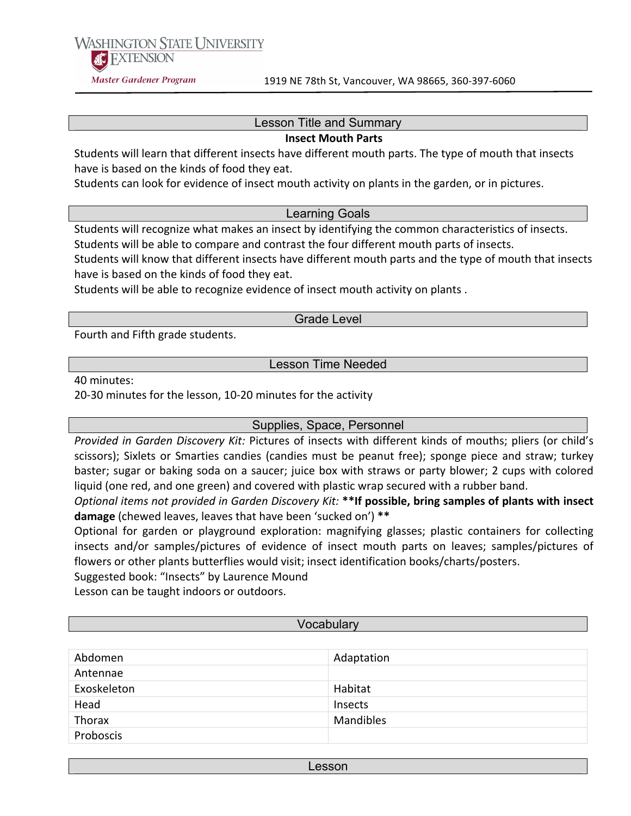**WASHINGTON STATE UNIVERSITY AC EXTENSION** Master Gardener Program

### Lesson Title and Summary

#### **Insect Mouth Parts**

Students will learn that different insects have different mouth parts. The type of mouth that insects have is based on the kinds of food they eat.

Students can look for evidence of insect mouth activity on plants in the garden, or in pictures.

#### Learning Goals

Students will recognize what makes an insect by identifying the common characteristics of insects. Students will be able to compare and contrast the four different mouth parts of insects.

Students will know that different insects have different mouth parts and the type of mouth that insects have is based on the kinds of food they eat.

Students will be able to recognize evidence of insect mouth activity on plants.

#### Grade Level

Fourth and Fifth grade students.

Lesson Time Needed

40 minutes:

20-30 minutes for the lesson, 10-20 minutes for the activity

Supplies, Space, Personnel

*Provided in Garden Discovery Kit: Pictures of insects with different kinds of mouths; pliers (or child's* scissors); Sixlets or Smarties candies (candies must be peanut free); sponge piece and straw; turkey baster; sugar or baking soda on a saucer; juice box with straws or party blower; 2 cups with colored liquid (one red, and one green) and covered with plastic wrap secured with a rubber band.

*Optional items not provided in Garden Discovery Kit:* \*\*If possible, bring samples of plants with insect damage (chewed leaves, leaves that have been 'sucked on') \*\*

Optional for garden or playground exploration: magnifying glasses; plastic containers for collecting insects and/or samples/ pictures of evidence of insect mouth parts on leaves; samples/ pictures of flowers or other plants butterflies would visit; insect identification books/charts/posters.

Suggested book: "Insects" by Laurence Mound

Lesson can be taught indoors or outdoors.

#### **Vocabulary**

| Abdomen     | Adaptation |
|-------------|------------|
| Antennae    |            |
| Exoskeleton | Habitat    |
| Head        | Insects    |
| Thorax      | Mandibles  |
| Proboscis   |            |

Lesson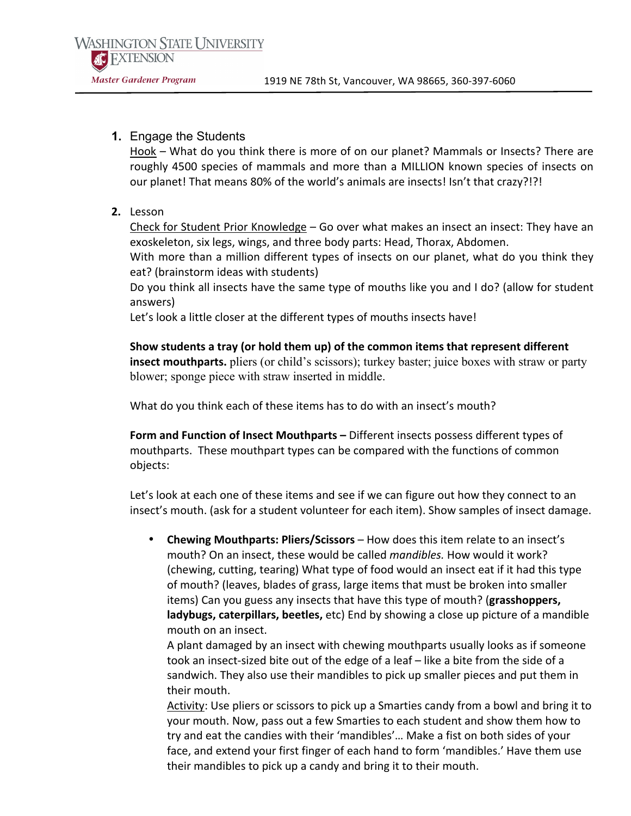# **1.** Engage the Students

Hook – What do you think there is more of on our planet? Mammals or Insects? There are roughly 4500 species of mammals and more than a MILLION known species of insects on our planet! That means 80% of the world's animals are insects! Isn't that crazy?!?!

2. Lesson

Check for Student Prior Knowledge – Go over what makes an insect an insect: They have an exoskeleton, six legs, wings, and three body parts: Head, Thorax, Abdomen.

With more than a million different types of insects on our planet, what do you think they eat? (brainstorm ideas with students)

Do you think all insects have the same type of mouths like you and I do? (allow for student answers)

Let's look a little closer at the different types of mouths insects have!

Show students a tray (or hold them up) of the common items that represent different **insect mouthparts.** pliers (or child's scissors); turkey baster; juice boxes with straw or party blower; sponge piece with straw inserted in middle.

What do you think each of these items has to do with an insect's mouth?

Form and Function of Insect Mouthparts - Different insects possess different types of mouthparts. These mouthpart types can be compared with the functions of common objects:

Let's look at each one of these items and see if we can figure out how they connect to an insect's mouth. (ask for a student volunteer for each item). Show samples of insect damage.

• **Chewing Mouthparts: Pliers/Scissors** – How does this item relate to an insect's mouth? On an insect, these would be called *mandibles*. How would it work? (chewing, cutting, tearing) What type of food would an insect eat if it had this type of mouth? (leaves, blades of grass, large items that must be broken into smaller items) Can you guess any insects that have this type of mouth? (grasshoppers, **ladybugs, caterpillars, beetles,** etc) End by showing a close up picture of a mandible mouth on an insect.

A plant damaged by an insect with chewing mouthparts usually looks as if someone took an insect-sized bite out of the edge of a leaf – like a bite from the side of a sandwich. They also use their mandibles to pick up smaller pieces and put them in their mouth.

Activity: Use pliers or scissors to pick up a Smarties candy from a bowl and bring it to your mouth. Now, pass out a few Smarties to each student and show them how to try and eat the candies with their 'mandibles'... Make a fist on both sides of your face, and extend your first finger of each hand to form 'mandibles.' Have them use their mandibles to pick up a candy and bring it to their mouth.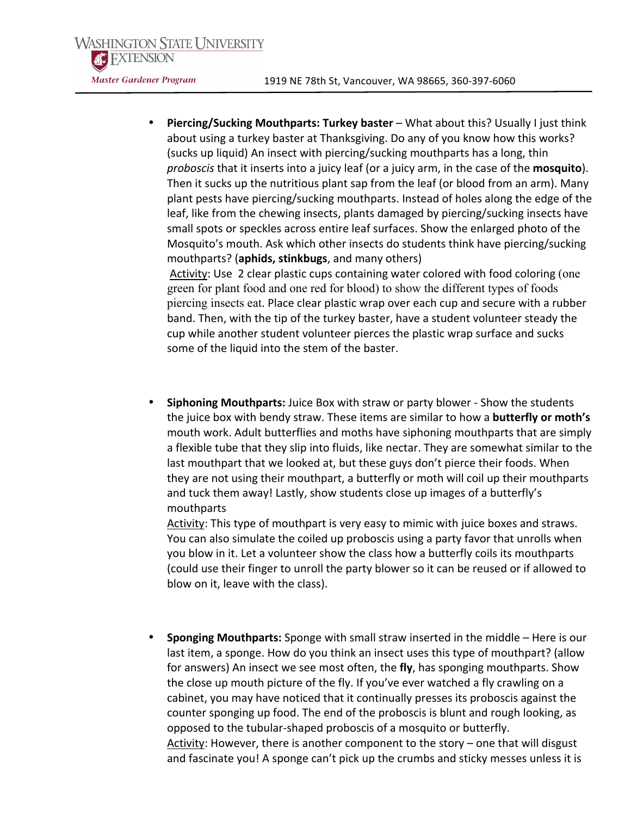**Piercing/Sucking Mouthparts: Turkey baster** – What about this? Usually I just think about using a turkey baster at Thanksgiving. Do any of you know how this works? (sucks up liquid) An insect with piercing/sucking mouthparts has a long, thin *proboscis* that it inserts into a juicy leaf (or a juicy arm, in the case of the **mosquito**). Then it sucks up the nutritious plant sap from the leaf (or blood from an arm). Many plant pests have piercing/sucking mouthparts. Instead of holes along the edge of the leaf, like from the chewing insects, plants damaged by piercing/sucking insects have small spots or speckles across entire leaf surfaces. Show the enlarged photo of the Mosquito's mouth. Ask which other insects do students think have piercing/sucking mouthparts? (**aphids, stinkbugs**, and many others)

Activity: Use 2 clear plastic cups containing water colored with food coloring (one green for plant food and one red for blood) to show the different types of foods piercing insects eat. Place clear plastic wrap over each cup and secure with a rubber band. Then, with the tip of the turkey baster, have a student volunteer steady the cup while another student volunteer pierces the plastic wrap surface and sucks some of the liquid into the stem of the baster.

**Siphoning Mouthparts:** Juice Box with straw or party blower - Show the students the juice box with bendy straw. These items are similar to how a **butterfly or moth's** mouth work. Adult butterflies and moths have siphoning mouthparts that are simply a flexible tube that they slip into fluids, like nectar. They are somewhat similar to the last mouthpart that we looked at, but these guys don't pierce their foods. When they are not using their mouthpart, a butterfly or moth will coil up their mouthparts and tuck them away! Lastly, show students close up images of a butterfly's mouthparts

Activity: This type of mouthpart is very easy to mimic with juice boxes and straws. You can also simulate the coiled up proboscis using a party favor that unrolls when you blow in it. Let a volunteer show the class how a butterfly coils its mouthparts (could use their finger to unroll the party blower so it can be reused or if allowed to blow on it, leave with the class).

**Sponging Mouthparts:** Sponge with small straw inserted in the middle – Here is our last item, a sponge. How do you think an insect uses this type of mouthpart? (allow for answers) An insect we see most often, the fly, has sponging mouthparts. Show the close up mouth picture of the fly. If you've ever watched a fly crawling on a cabinet, you may have noticed that it continually presses its proboscis against the counter sponging up food. The end of the proboscis is blunt and rough looking, as opposed to the tubular-shaped proboscis of a mosquito or butterfly. Activity: However, there is another component to the story – one that will disgust and fascinate you! A sponge can't pick up the crumbs and sticky messes unless it is